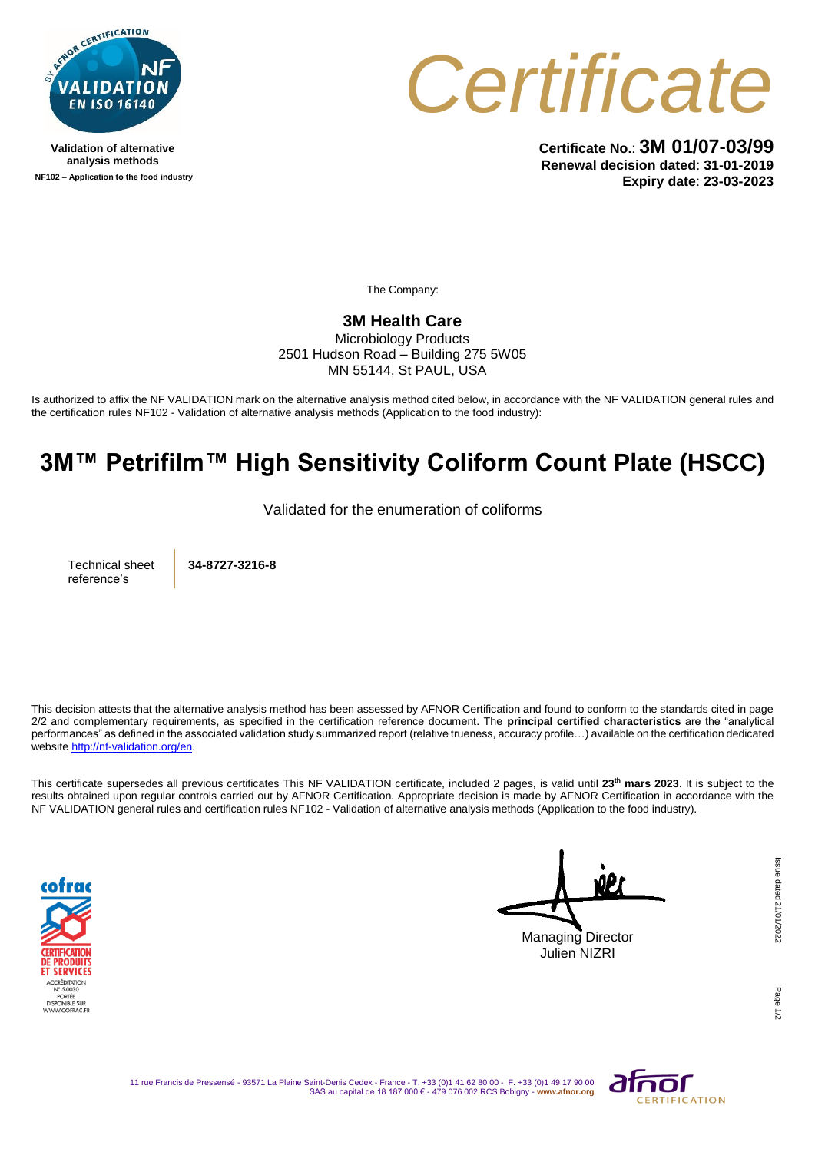

**Validation of alternative analysis methods NF102 – Application to the food industry**



**Certificate No.**: **3M 01/07-03/99 Renewal decision dated**: **31-01-2019 Expiry date**: **23-03-2023**

The Company:

## **3M Health Care**

Microbiology Products 2501 Hudson Road – Building 275 5W05 MN 55144, St PAUL, USA

Is authorized to affix the NF VALIDATION mark on the alternative analysis method cited below, in accordance with the NF VALIDATION general rules and the certification rules NF102 - Validation of alternative analysis methods (Application to the food industry):

## **3M™ Petrifilm™ High Sensitivity Coliform Count Plate (HSCC)**

Validated for the enumeration of coliforms

Technical sheet reference's

**34-8727-3216-8**

This decision attests that the alternative analysis method has been assessed by AFNOR Certification and found to conform to the standards cited in page 2/2 and complementary requirements, as specified in the certification reference document. The **principal certified characteristics** are the "analytical performances" as defined in the associated validation study summarized report (relative trueness, accuracy profile…) available on the certification dedicated websit[e http://nf-validation.org/en.](http://nf-validation.org/en)

This certificate supersedes all previous certificates This NF VALIDATION certificate, included 2 pages, is valid until **23th mars 2023**. It is subject to the results obtained upon regular controls carried out by AFNOR Certification. Appropriate decision is made by AFNOR Certification in accordance with the NF VALIDATION general rules and certification rules NF102 - Validation of alternative analysis methods (Application to the food industry).



Managing Director Julien NIZRI

Page